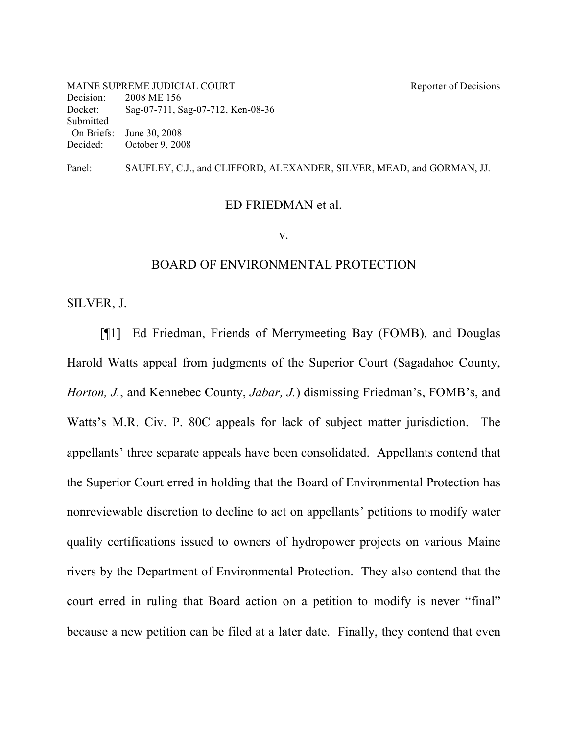MAINE SUPREME JUDICIAL COURT Reporter of Decisions Decision: 2008 ME 156 Docket: Sag-07-711, Sag-07-712, Ken-08-36 Submitted On Briefs: June 30, 2008 Decided: October 9, 2008

Panel: SAUFLEY, C.J., and CLIFFORD, ALEXANDER, SILVER, MEAD, and GORMAN, JJ.

#### ED FRIEDMAN et al.

v.

#### BOARD OF ENVIRONMENTAL PROTECTION

SILVER, J.

[¶1] Ed Friedman, Friends of Merrymeeting Bay (FOMB), and Douglas Harold Watts appeal from judgments of the Superior Court (Sagadahoc County, *Horton, J.*, and Kennebec County, *Jabar, J.*) dismissing Friedman's, FOMB's, and Watts's M.R. Civ. P. 80C appeals for lack of subject matter jurisdiction. The appellants' three separate appeals have been consolidated. Appellants contend that the Superior Court erred in holding that the Board of Environmental Protection has nonreviewable discretion to decline to act on appellants' petitions to modify water quality certifications issued to owners of hydropower projects on various Maine rivers by the Department of Environmental Protection. They also contend that the court erred in ruling that Board action on a petition to modify is never "final" because a new petition can be filed at a later date. Finally, they contend that even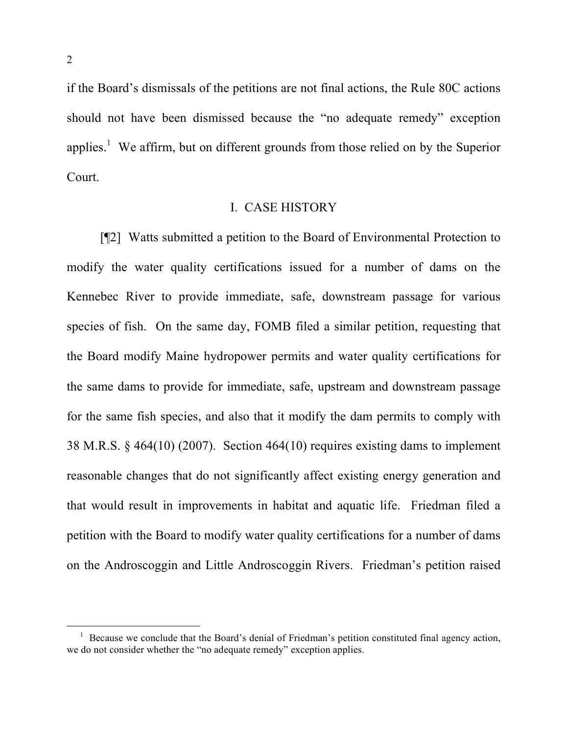if the Board's dismissals of the petitions are not final actions, the Rule 80C actions should not have been dismissed because the "no adequate remedy" exception applies.<sup>1</sup> We affirm, but on different grounds from those relied on by the Superior Court.

### I. CASE HISTORY

[¶2] Watts submitted a petition to the Board of Environmental Protection to modify the water quality certifications issued for a number of dams on the Kennebec River to provide immediate, safe, downstream passage for various species of fish. On the same day, FOMB filed a similar petition, requesting that the Board modify Maine hydropower permits and water quality certifications for the same dams to provide for immediate, safe, upstream and downstream passage for the same fish species, and also that it modify the dam permits to comply with 38 M.R.S. § 464(10) (2007). Section 464(10) requires existing dams to implement reasonable changes that do not significantly affect existing energy generation and that would result in improvements in habitat and aquatic life. Friedman filed a petition with the Board to modify water quality certifications for a number of dams on the Androscoggin and Little Androscoggin Rivers. Friedman's petition raised

 $1$  Because we conclude that the Board's denial of Friedman's petition constituted final agency action, we do not consider whether the "no adequate remedy" exception applies.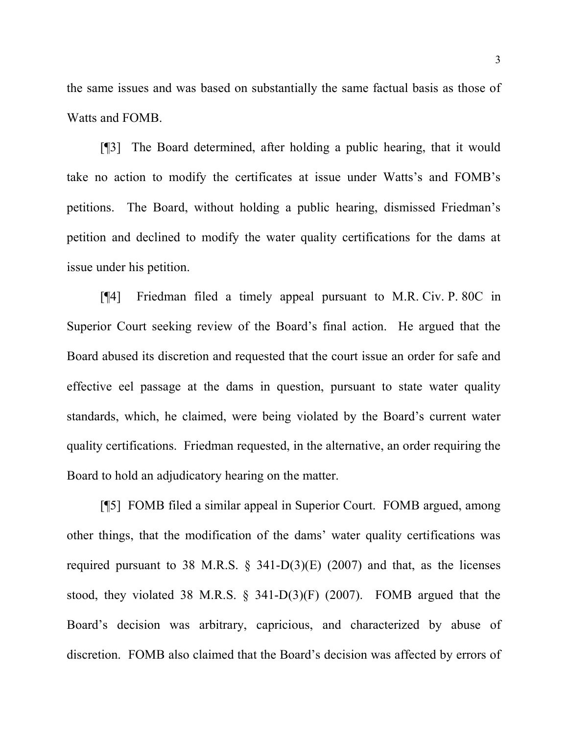the same issues and was based on substantially the same factual basis as those of Watts and FOMB.

[¶3] The Board determined, after holding a public hearing, that it would take no action to modify the certificates at issue under Watts's and FOMB's petitions. The Board, without holding a public hearing, dismissed Friedman's petition and declined to modify the water quality certifications for the dams at issue under his petition.

[¶4] Friedman filed a timely appeal pursuant to M.R. Civ. P. 80C in Superior Court seeking review of the Board's final action. He argued that the Board abused its discretion and requested that the court issue an order for safe and effective eel passage at the dams in question, pursuant to state water quality standards, which, he claimed, were being violated by the Board's current water quality certifications. Friedman requested, in the alternative, an order requiring the Board to hold an adjudicatory hearing on the matter.

[¶5] FOMB filed a similar appeal in Superior Court. FOMB argued, among other things, that the modification of the dams' water quality certifications was required pursuant to 38 M.R.S.  $\S$  341-D(3)(E) (2007) and that, as the licenses stood, they violated 38 M.R.S. § 341-D(3)(F) (2007). FOMB argued that the Board's decision was arbitrary, capricious, and characterized by abuse of discretion. FOMB also claimed that the Board's decision was affected by errors of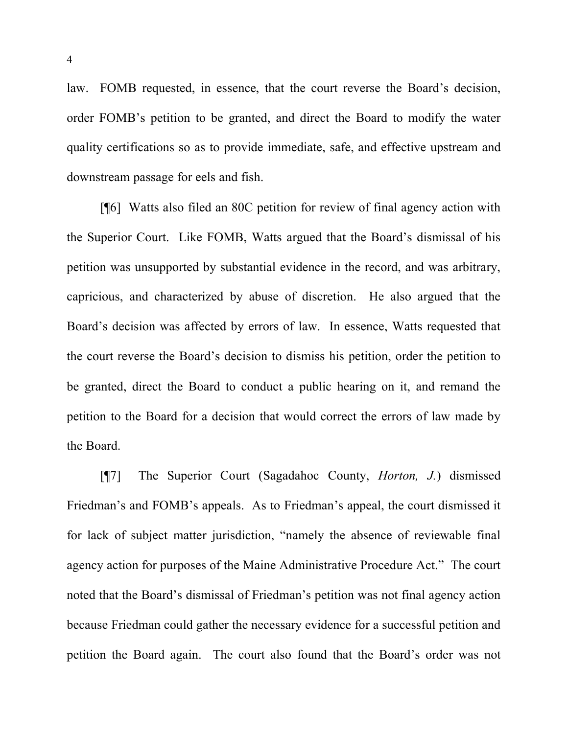law. FOMB requested, in essence, that the court reverse the Board's decision, order FOMB's petition to be granted, and direct the Board to modify the water quality certifications so as to provide immediate, safe, and effective upstream and downstream passage for eels and fish.

[¶6] Watts also filed an 80C petition for review of final agency action with the Superior Court. Like FOMB, Watts argued that the Board's dismissal of his petition was unsupported by substantial evidence in the record, and was arbitrary, capricious, and characterized by abuse of discretion. He also argued that the Board's decision was affected by errors of law. In essence, Watts requested that the court reverse the Board's decision to dismiss his petition, order the petition to be granted, direct the Board to conduct a public hearing on it, and remand the petition to the Board for a decision that would correct the errors of law made by the Board.

[¶7] The Superior Court (Sagadahoc County, *Horton, J.*) dismissed Friedman's and FOMB's appeals. As to Friedman's appeal, the court dismissed it for lack of subject matter jurisdiction, "namely the absence of reviewable final agency action for purposes of the Maine Administrative Procedure Act." The court noted that the Board's dismissal of Friedman's petition was not final agency action because Friedman could gather the necessary evidence for a successful petition and petition the Board again. The court also found that the Board's order was not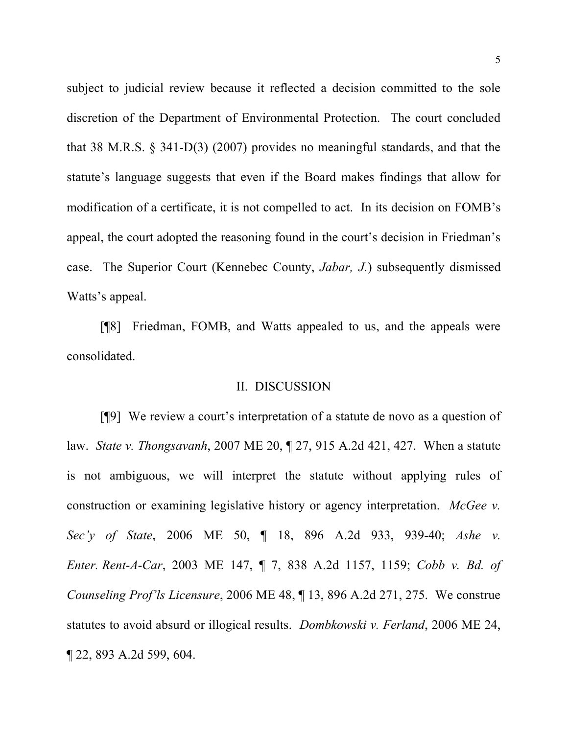subject to judicial review because it reflected a decision committed to the sole discretion of the Department of Environmental Protection. The court concluded that 38 M.R.S. § 341-D(3) (2007) provides no meaningful standards, and that the statute's language suggests that even if the Board makes findings that allow for modification of a certificate, it is not compelled to act. In its decision on FOMB's appeal, the court adopted the reasoning found in the court's decision in Friedman's case. The Superior Court (Kennebec County, *Jabar, J.*) subsequently dismissed Watts's appeal.

[¶8] Friedman, FOMB, and Watts appealed to us, and the appeals were consolidated.

#### II. DISCUSSION

[¶9] We review a court's interpretation of a statute de novo as a question of law. *State v. Thongsavanh*, 2007 ME 20, ¶ 27, 915 A.2d 421, 427. When a statute is not ambiguous, we will interpret the statute without applying rules of construction or examining legislative history or agency interpretation. *McGee v. Sec'y of State*, 2006 ME 50, ¶ 18, 896 A.2d 933, 939-40; *Ashe v. Enter. Rent-A-Car*, 2003 ME 147, ¶ 7, 838 A.2d 1157, 1159; *Cobb v. Bd. of Counseling Prof'ls Licensure*, 2006 ME 48, ¶ 13, 896 A.2d 271, 275. We construe statutes to avoid absurd or illogical results. *Dombkowski v. Ferland*, 2006 ME 24, ¶ 22, 893 A.2d 599, 604.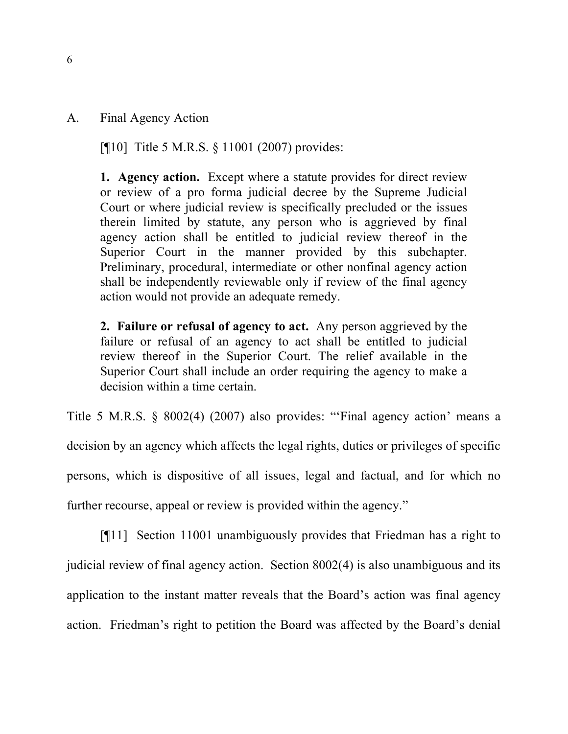A. Final Agency Action

[¶10] Title 5 M.R.S. § 11001 (2007) provides:

**1. Agency action.** Except where a statute provides for direct review or review of a pro forma judicial decree by the Supreme Judicial Court or where judicial review is specifically precluded or the issues therein limited by statute, any person who is aggrieved by final agency action shall be entitled to judicial review thereof in the Superior Court in the manner provided by this subchapter. Preliminary, procedural, intermediate or other nonfinal agency action shall be independently reviewable only if review of the final agency action would not provide an adequate remedy.

**2. Failure or refusal of agency to act.** Any person aggrieved by the failure or refusal of an agency to act shall be entitled to judicial review thereof in the Superior Court. The relief available in the Superior Court shall include an order requiring the agency to make a decision within a time certain.

Title 5 M.R.S. § 8002(4) (2007) also provides: "'Final agency action' means a decision by an agency which affects the legal rights, duties or privileges of specific persons, which is dispositive of all issues, legal and factual, and for which no further recourse, appeal or review is provided within the agency."

[¶11] Section 11001 unambiguously provides that Friedman has a right to judicial review of final agency action. Section 8002(4) is also unambiguous and its application to the instant matter reveals that the Board's action was final agency action. Friedman's right to petition the Board was affected by the Board's denial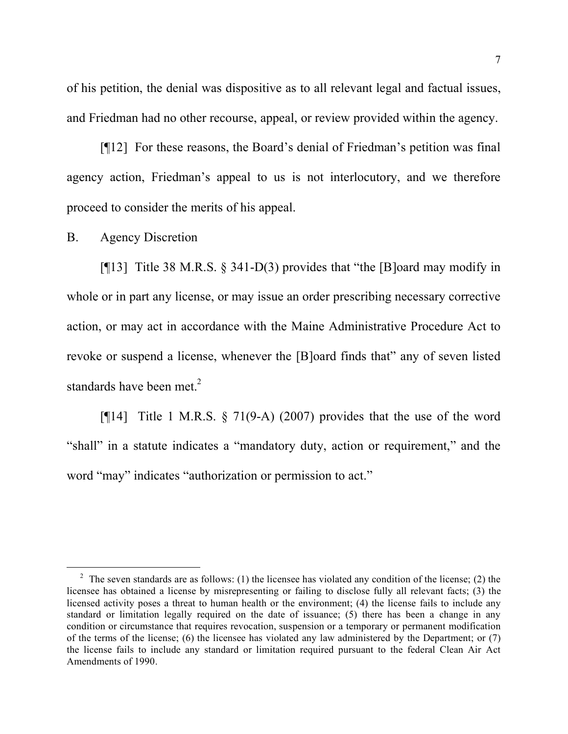of his petition, the denial was dispositive as to all relevant legal and factual issues, and Friedman had no other recourse, appeal, or review provided within the agency.

[¶12] For these reasons, the Board's denial of Friedman's petition was final agency action, Friedman's appeal to us is not interlocutory, and we therefore proceed to consider the merits of his appeal.

B. Agency Discretion

[ $[13]$ ] Title 38 M.R.S. § 341-D(3) provides that "the [B]oard may modify in whole or in part any license, or may issue an order prescribing necessary corrective action, or may act in accordance with the Maine Administrative Procedure Act to revoke or suspend a license, whenever the [B]oard finds that" any of seven listed standards have been met.<sup>2</sup>

[ $[14]$ ] Title 1 M.R.S. § 71(9-A) (2007) provides that the use of the word "shall" in a statute indicates a "mandatory duty, action or requirement," and the word "may" indicates "authorization or permission to act."

<sup>&</sup>lt;sup>2</sup> The seven standards are as follows: (1) the licensee has violated any condition of the license; (2) the licensee has obtained a license by misrepresenting or failing to disclose fully all relevant facts; (3) the licensed activity poses a threat to human health or the environment; (4) the license fails to include any standard or limitation legally required on the date of issuance; (5) there has been a change in any condition or circumstance that requires revocation, suspension or a temporary or permanent modification of the terms of the license; (6) the licensee has violated any law administered by the Department; or (7) the license fails to include any standard or limitation required pursuant to the federal Clean Air Act Amendments of 1990.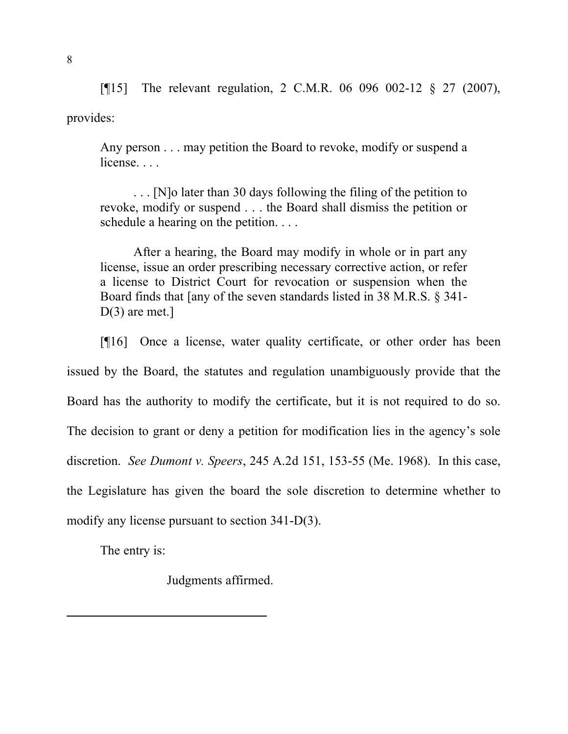[¶15] The relevant regulation, 2 C.M.R. 06 096 002-12 § 27 (2007), provides:

Any person . . . may petition the Board to revoke, modify or suspend a license...

. . . [N]o later than 30 days following the filing of the petition to revoke, modify or suspend . . . the Board shall dismiss the petition or schedule a hearing on the petition. . . .

After a hearing, the Board may modify in whole or in part any license, issue an order prescribing necessary corrective action, or refer a license to District Court for revocation or suspension when the Board finds that [any of the seven standards listed in 38 M.R.S. § 341-  $D(3)$  are met.]

[¶16] Once a license, water quality certificate, or other order has been issued by the Board, the statutes and regulation unambiguously provide that the Board has the authority to modify the certificate, but it is not required to do so. The decision to grant or deny a petition for modification lies in the agency's sole discretion. *See Dumont v. Speers*, 245 A.2d 151, 153-55 (Me. 1968). In this case, the Legislature has given the board the sole discretion to determine whether to modify any license pursuant to section 341-D(3).

The entry is:

Judgments affirmed.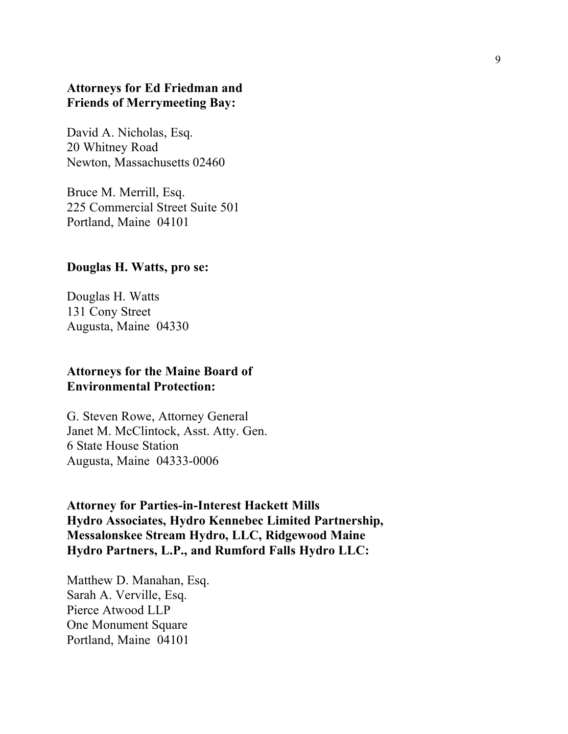## **Attorneys for Ed Friedman and Friends of Merrymeeting Bay:**

David A. Nicholas, Esq. 20 Whitney Road Newton, Massachusetts 02460

Bruce M. Merrill, Esq. 225 Commercial Street Suite 501 Portland, Maine 04101

#### **Douglas H. Watts, pro se:**

Douglas H. Watts 131 Cony Street Augusta, Maine 04330

### **Attorneys for the Maine Board of Environmental Protection:**

G. Steven Rowe, Attorney General Janet M. McClintock, Asst. Atty. Gen. 6 State House Station Augusta, Maine 04333-0006

**Attorney for Parties-in-Interest Hackett Mills Hydro Associates, Hydro Kennebec Limited Partnership, Messalonskee Stream Hydro, LLC, Ridgewood Maine Hydro Partners, L.P., and Rumford Falls Hydro LLC:**

Matthew D. Manahan, Esq. Sarah A. Verville, Esq. Pierce Atwood LLP One Monument Square Portland, Maine 04101